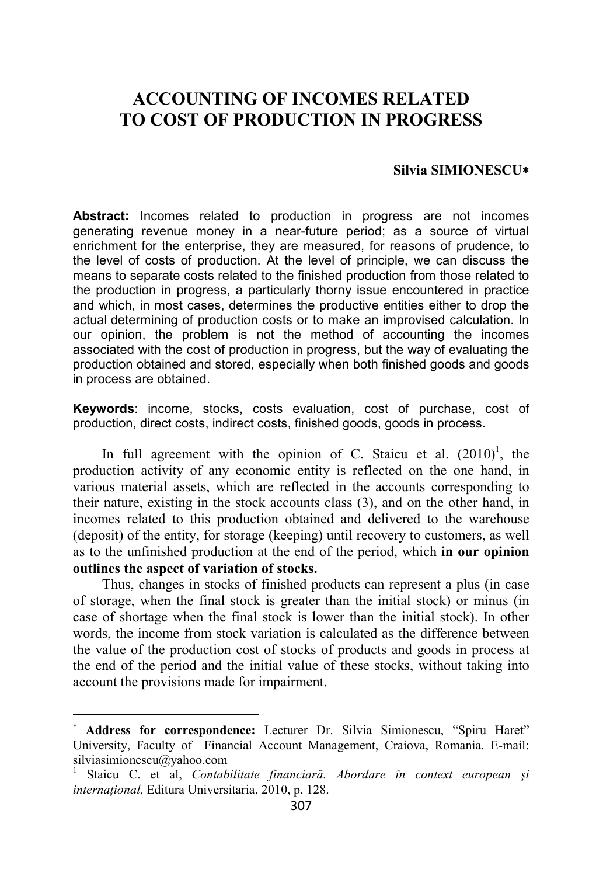## **ACCOUNTING OF INCOMES RELATED TO COST OF PRODUCTION IN PROGRESS**

## **Silvia SIMIONESCU**∗

**Abstract:** Incomes related to production in progress are not incomes generating revenue money in a near-future period; as a source of virtual enrichment for the enterprise, they are measured, for reasons of prudence, to the level of costs of production. At the level of principle, we can discuss the means to separate costs related to the finished production from those related to the production in progress, a particularly thorny issue encountered in practice and which, in most cases, determines the productive entities either to drop the actual determining of production costs or to make an improvised calculation. In our opinion, the problem is not the method of accounting the incomes associated with the cost of production in progress, but the way of evaluating the production obtained and stored, especially when both finished goods and goods in process are obtained.

**Keywords**: income, stocks, costs evaluation, cost of purchase, cost of production, direct costs, indirect costs, finished goods, goods in process.

In full agreement with the opinion of C. Staicu et al.  $(2010)^1$ , the production activity of any economic entity is reflected on the one hand, in various material assets, which are reflected in the accounts corresponding to their nature, existing in the stock accounts class (3), and on the other hand, in incomes related to this production obtained and delivered to the warehouse (deposit) of the entity, for storage (keeping) until recovery to customers, as well as to the unfinished production at the end of the period, which **in our opinion outlines the aspect of variation of stocks.** 

Thus, changes in stocks of finished products can represent a plus (in case of storage, when the final stock is greater than the initial stock) or minus (in case of shortage when the final stock is lower than the initial stock). In other words, the income from stock variation is calculated as the difference between the value of the production cost of stocks of products and goods in process at the end of the period and the initial value of these stocks, without taking into account the provisions made for impairment.

 $\overline{a}$ 

Address for correspondence: Lecturer Dr. Silvia Simionescu, "Spiru Haret" University, Faculty of Financial Account Management, Craiova, Romania. E-mail: silviasimionescu@yahoo.com

<sup>1</sup> Staicu C. et al, *Contabilitate financiară. Abordare în context european şi internaţional,* Editura Universitaria, 2010, p. 128.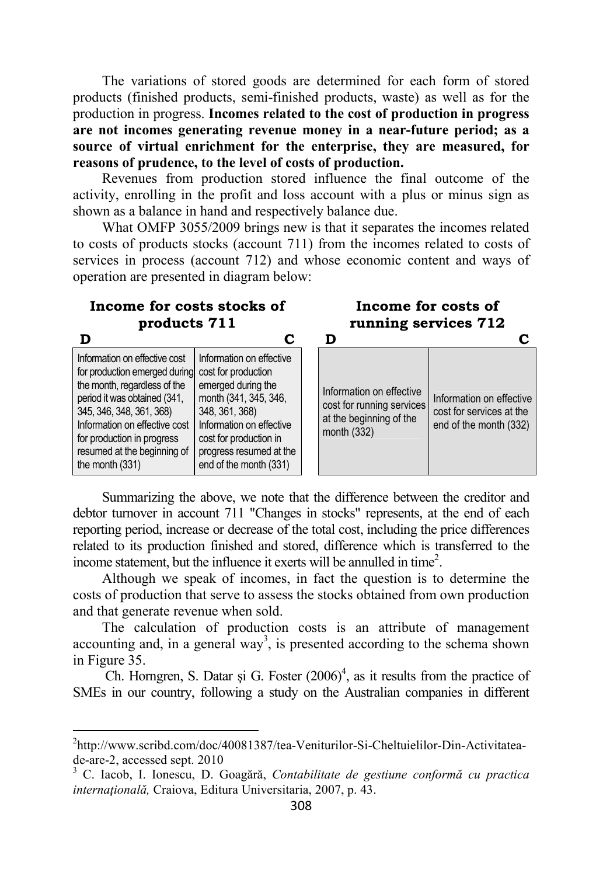The variations of stored goods are determined for each form of stored products (finished products, semi-finished products, waste) as well as for the production in progress. **Incomes related to the cost of production in progress are not incomes generating revenue money in a near-future period; as a source of virtual enrichment for the enterprise, they are measured, for reasons of prudence, to the level of costs of production.**

Revenues from production stored influence the final outcome of the activity, enrolling in the profit and loss account with a plus or minus sign as shown as a balance in hand and respectively balance due.

What OMFP 3055/2009 brings new is that it separates the incomes related to costs of products stocks (account 711) from the incomes related to costs of services in process (account 712) and whose economic content and ways of operation are presented in diagram below:

## **Income for costs stocks of products 711 Income for costs of running services 712 D C D C** Information on effective cost for production emerged during cost for production the month, regardless of the period it was obtained (341, 345, 346, 348, 361, 368) Information on effective cost for production in progress resumed at the beginning of the month (331) Information on effective emerged during the month (341, 345, 346, 348, 361, 368) Information on effective cost for production in progress resumed at the end of the month (331) Information on effective cost for running services at the beginning of the month (332) Information on effective cost for services at the end of the month (332)

Summarizing the above, we note that the difference between the creditor and debtor turnover in account 711 "Changes in stocks" represents, at the end of each reporting period, increase or decrease of the total cost, including the price differences related to its production finished and stored, difference which is transferred to the income statement, but the influence it exerts will be annulled in time<sup>2</sup>.

Although we speak of incomes, in fact the question is to determine the costs of production that serve to assess the stocks obtained from own production and that generate revenue when sold.

The calculation of production costs is an attribute of management accounting and, in a general way<sup>3</sup>, is presented according to the schema shown in Figure 35.

Ch. Horngren, S. Datar și G. Foster  $(2006)^4$ , as it results from the practice of SMEs in our country, following a study on the Australian companies in different

l

<sup>&</sup>lt;sup>2</sup>http://www.scribd.com/doc/40081387/tea-Veniturilor-Si-Cheltuielilor-Din-Activitateade-are-2, accessed sept. 2010

<sup>3</sup> C. Iacob, I. Ionescu, D. Goagără, *Contabilitate de gestiune conformă cu practica internaţională,* Craiova, Editura Universitaria, 2007, p. 43.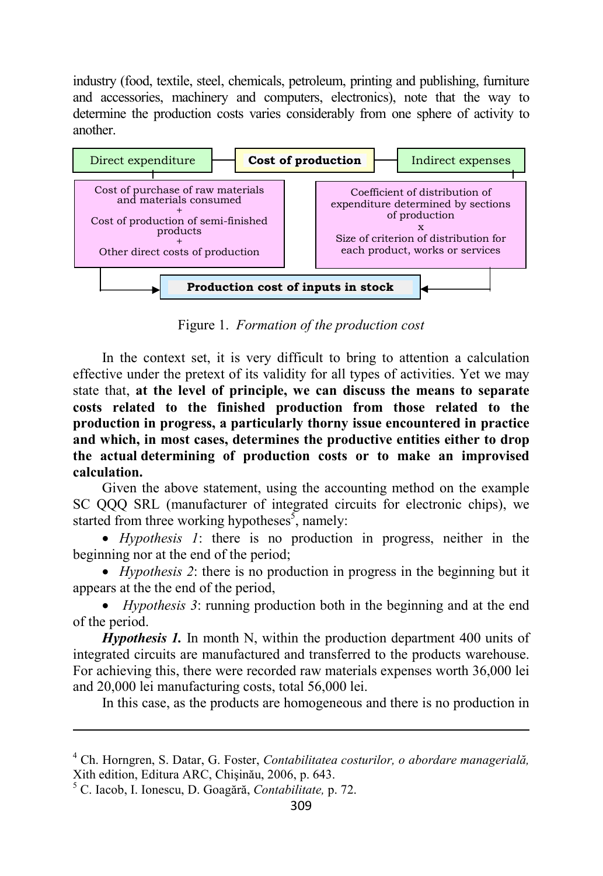industry (food, textile, steel, chemicals, petroleum, printing and publishing, furniture and accessories, machinery and computers, electronics), note that the way to determine the production costs varies considerably from one sphere of activity to another.



Figure 1. *Formation of the production cost* 

In the context set, it is very difficult to bring to attention a calculation effective under the pretext of its validity for all types of activities. Yet we may state that, **at the level of principle, we can discuss the means to separate costs related to the finished production from those related to the production in progress, a particularly thorny issue encountered in practice and which, in most cases, determines the productive entities either to drop the actual determining of production costs or to make an improvised calculation.**

Given the above statement, using the accounting method on the example SC QQQ SRL (manufacturer of integrated circuits for electronic chips), we started from three working hypotheses<sup>5</sup>, namely:

• *Hypothesis 1*: there is no production in progress, neither in the beginning nor at the end of the period;

• *Hypothesis 2*: there is no production in progress in the beginning but it appears at the the end of the period,

• *Hypothesis 3*: running production both in the beginning and at the end of the period.

*Hypothesis 1.* In month N, within the production department 400 units of integrated circuits are manufactured and transferred to the products warehouse. For achieving this, there were recorded raw materials expenses worth 36,000 lei and 20,000 lei manufacturing costs, total 56,000 lei.

In this case, as the products are homogeneous and there is no production in

l

<sup>4</sup> Ch. Horngren, S. Datar, G. Foster, *Contabilitatea costurilor, o abordare managerială,*  Xith edition, Editura ARC, Chişinău, 2006, p. 643.

<sup>5</sup> C. Iacob, I. Ionescu, D. Goagără, *Contabilitate,* p. 72.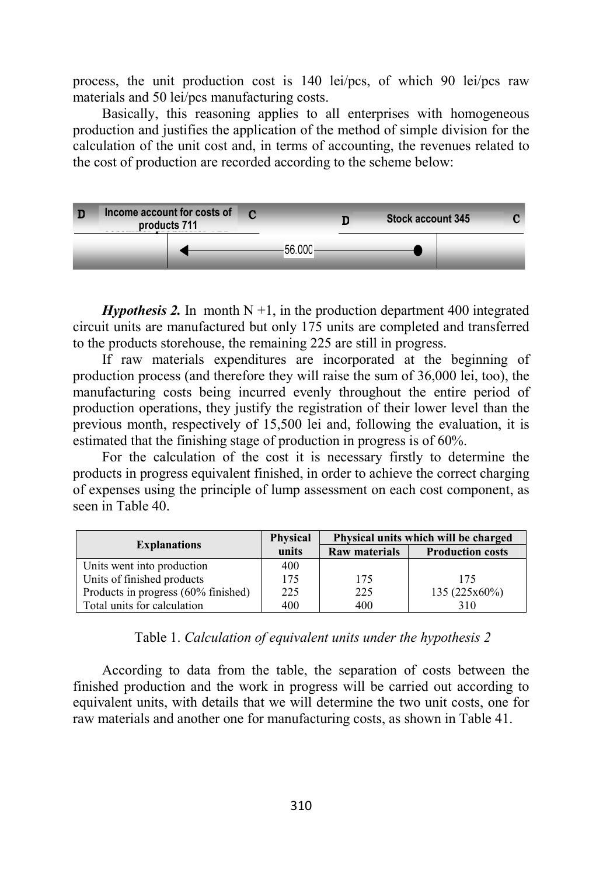process, the unit production cost is 140 lei/pcs, of which 90 lei/pcs raw materials and 50 lei/pcs manufacturing costs.

Basically, this reasoning applies to all enterprises with homogeneous production and justifies the application of the method of simple division for the calculation of the unit cost and, in terms of accounting, the revenues related to the cost of production are recorded according to the scheme below:



*Hypothesis 2.* In month  $N + 1$ , in the production department 400 integrated circuit units are manufactured but only 175 units are completed and transferred to the products storehouse, the remaining 225 are still in progress.

If raw materials expenditures are incorporated at the beginning of production process (and therefore they will raise the sum of 36,000 lei, too), the manufacturing costs being incurred evenly throughout the entire period of production operations, they justify the registration of their lower level than the previous month, respectively of 15,500 lei and, following the evaluation, it is estimated that the finishing stage of production in progress is of 60%.

For the calculation of the cost it is necessary firstly to determine the products in progress equivalent finished, in order to achieve the correct charging of expenses using the principle of lump assessment on each cost component, as seen in Table 40.

|                                     | <b>Physical</b> |                      | Physical units which will be charged |
|-------------------------------------|-----------------|----------------------|--------------------------------------|
| <b>Explanations</b>                 | units           | <b>Raw materials</b> | <b>Production costs</b>              |
| Units went into production          | 400             |                      |                                      |
| Units of finished products          | 175             | 175                  | 175                                  |
| Products in progress (60% finished) | 225             | 225                  | 135(225x60%)                         |
| Total units for calculation         | 400             | 400                  | 310                                  |

Table 1. *Calculation of equivalent units under the hypothesis 2* 

According to data from the table, the separation of costs between the finished production and the work in progress will be carried out according to equivalent units, with details that we will determine the two unit costs, one for raw materials and another one for manufacturing costs, as shown in Table 41.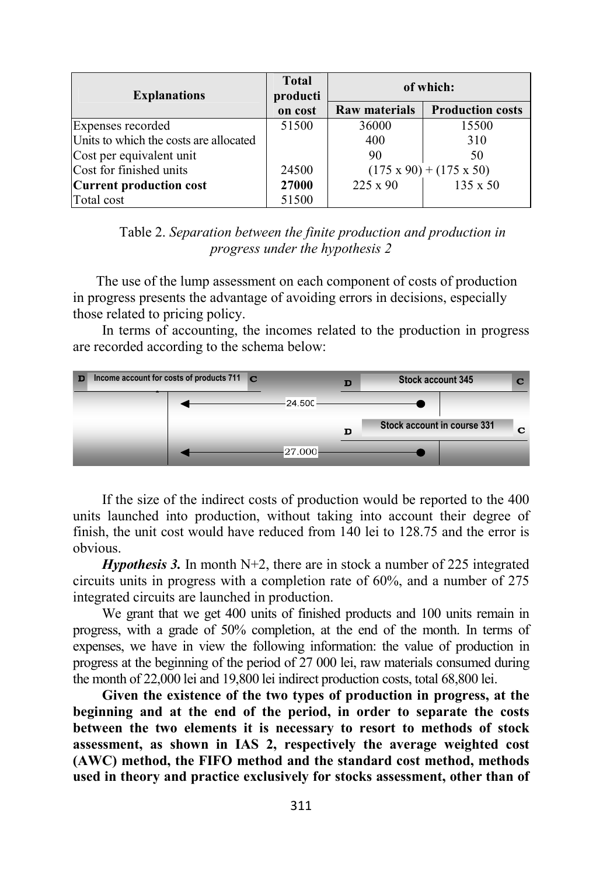| <b>Explanations</b>                    | <b>Total</b><br>producti | of which:                           |                         |
|----------------------------------------|--------------------------|-------------------------------------|-------------------------|
|                                        | on cost                  | <b>Raw materials</b>                | <b>Production costs</b> |
| Expenses recorded                      | 51500                    | 36000                               | 15500                   |
| Units to which the costs are allocated |                          | 400                                 | 310                     |
| Cost per equivalent unit               |                          | 90                                  | 50                      |
| Cost for finished units                | 24500                    | $(175 \times 90) + (175 \times 50)$ |                         |
| <b>Current production cost</b>         | 27000                    | $225 \times 90$                     | 135 x 50                |
| Total cost                             | 51500                    |                                     |                         |

Table 2. *Separation between the finite production and production in progress under the hypothesis 2* 

The use of the lump assessment on each component of costs of production in progress presents the advantage of avoiding errors in decisions, especially those related to pricing policy.

In terms of accounting, the incomes related to the production in progress are recorded according to the schema below:



If the size of the indirect costs of production would be reported to the 400 units launched into production, without taking into account their degree of finish, the unit cost would have reduced from 140 lei to 128.75 and the error is obvious.

*Hypothesis 3.* In month N+2, there are in stock a number of 225 integrated circuits units in progress with a completion rate of 60%, and a number of 275 integrated circuits are launched in production.

We grant that we get 400 units of finished products and 100 units remain in progress, with a grade of 50% completion, at the end of the month. In terms of expenses, we have in view the following information: the value of production in progress at the beginning of the period of 27 000 lei, raw materials consumed during the month of 22,000 lei and 19,800 lei indirect production costs, total 68,800 lei.

**Given the existence of the two types of production in progress, at the beginning and at the end of the period, in order to separate the costs between the two elements it is necessary to resort to methods of stock assessment, as shown in IAS 2, respectively the average weighted cost (AWC) method, the FIFO method and the standard cost method, methods used in theory and practice exclusively for stocks assessment, other than of**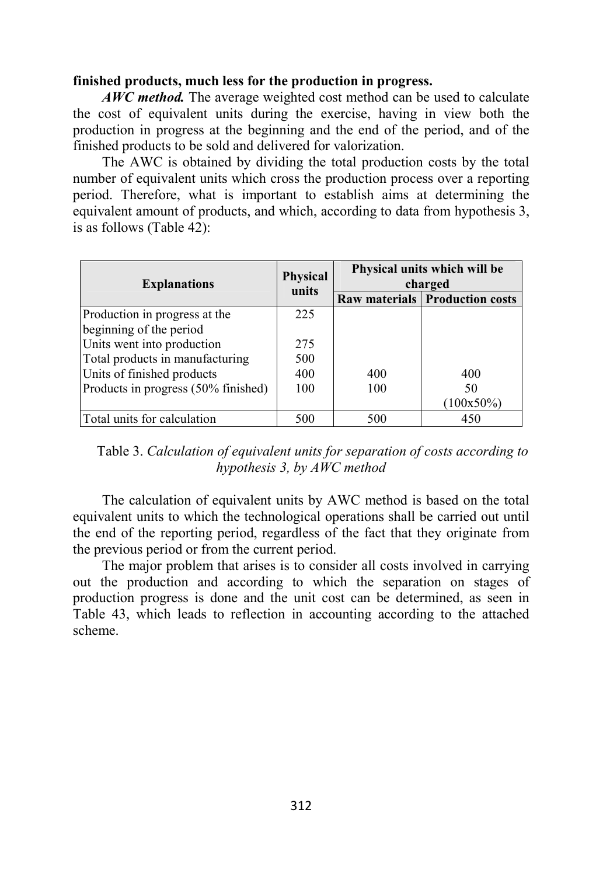## **finished products, much less for the production in progress.**

*AWC method.* The average weighted cost method can be used to calculate the cost of equivalent units during the exercise, having in view both the production in progress at the beginning and the end of the period, and of the finished products to be sold and delivered for valorization.

The AWC is obtained by dividing the total production costs by the total number of equivalent units which cross the production process over a reporting period. Therefore, what is important to establish aims at determining the equivalent amount of products, and which, according to data from hypothesis 3, is as follows (Table 42):

| <b>Explanations</b>                 | <b>Physical</b> | charged | Physical units which will be          | units |  |
|-------------------------------------|-----------------|---------|---------------------------------------|-------|--|
|                                     |                 |         | <b>Raw materials Production costs</b> |       |  |
| Production in progress at the       | 225             |         |                                       |       |  |
| beginning of the period             |                 |         |                                       |       |  |
| Units went into production          | 275             |         |                                       |       |  |
| Total products in manufacturing     | 500             |         |                                       |       |  |
| Units of finished products          | 400             | 400     | 400                                   |       |  |
| Products in progress (50% finished) | 100             | 100     | 50                                    |       |  |
|                                     |                 |         | $(100x50\%)$                          |       |  |
| Total units for calculation         | 500             | 500     | 450                                   |       |  |

Table 3. *Calculation of equivalent units for separation of costs according to hypothesis 3, by AWC method* 

The calculation of equivalent units by AWC method is based on the total equivalent units to which the technological operations shall be carried out until the end of the reporting period, regardless of the fact that they originate from the previous period or from the current period.

The major problem that arises is to consider all costs involved in carrying out the production and according to which the separation on stages of production progress is done and the unit cost can be determined, as seen in Table 43, which leads to reflection in accounting according to the attached scheme.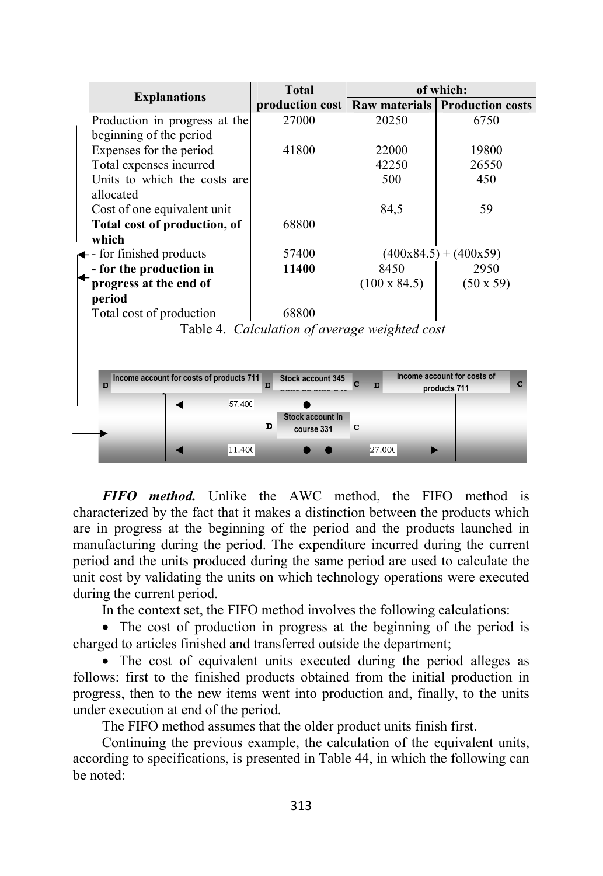|                                               | <b>Total</b>                                  |                      | of which:                                        |
|-----------------------------------------------|-----------------------------------------------|----------------------|--------------------------------------------------|
| <b>Explanations</b>                           | production cost                               | <b>Raw materials</b> | <b>Production costs</b>                          |
| Production in progress at the                 | 27000                                         | 20250                | 6750                                             |
| beginning of the period                       |                                               |                      |                                                  |
| Expenses for the period                       | 41800                                         | 22000                | 19800                                            |
| Total expenses incurred                       |                                               | 42250                | 26550                                            |
| Units to which the costs are                  |                                               | 500                  | 450                                              |
| allocated                                     |                                               |                      |                                                  |
| Cost of one equivalent unit                   |                                               | 84,5                 | 59                                               |
| Total cost of production, of                  | 68800                                         |                      |                                                  |
| which                                         |                                               |                      |                                                  |
| - for finished products                       | 57400                                         |                      | $(400x84.5) + (400x59)$                          |
| - for the production in                       | 11400                                         | 8450                 | 2950                                             |
| progress at the end of                        |                                               | $(100 \times 84.5)$  | $(50 \times 59)$                                 |
| period                                        |                                               |                      |                                                  |
| Total cost of production                      | 68800                                         |                      |                                                  |
|                                               | Table 4. Calculation of average weighted cost |                      |                                                  |
|                                               |                                               |                      |                                                  |
|                                               |                                               |                      |                                                  |
| Income account for costs of products 711<br>D | Stock account 345                             | D                    | Income account for costs of<br>C<br>products 711 |
| $-57.40C -$                                   |                                               |                      |                                                  |
|                                               | Stock account in<br>D<br>course 331           | С                    |                                                  |
| 11.400                                        |                                               | 27.000               |                                                  |

*FIFO method.* Unlike the AWC method, the FIFO method is characterized by the fact that it makes a distinction between the products which are in progress at the beginning of the period and the products launched in manufacturing during the period. The expenditure incurred during the current period and the units produced during the same period are used to calculate the unit cost by validating the units on which technology operations were executed during the current period.

In the context set, the FIFO method involves the following calculations:

• The cost of production in progress at the beginning of the period is charged to articles finished and transferred outside the department;

• The cost of equivalent units executed during the period alleges as follows: first to the finished products obtained from the initial production in progress, then to the new items went into production and, finally, to the units under execution at end of the period.

The FIFO method assumes that the older product units finish first.

Continuing the previous example, the calculation of the equivalent units, according to specifications, is presented in Table 44, in which the following can be noted: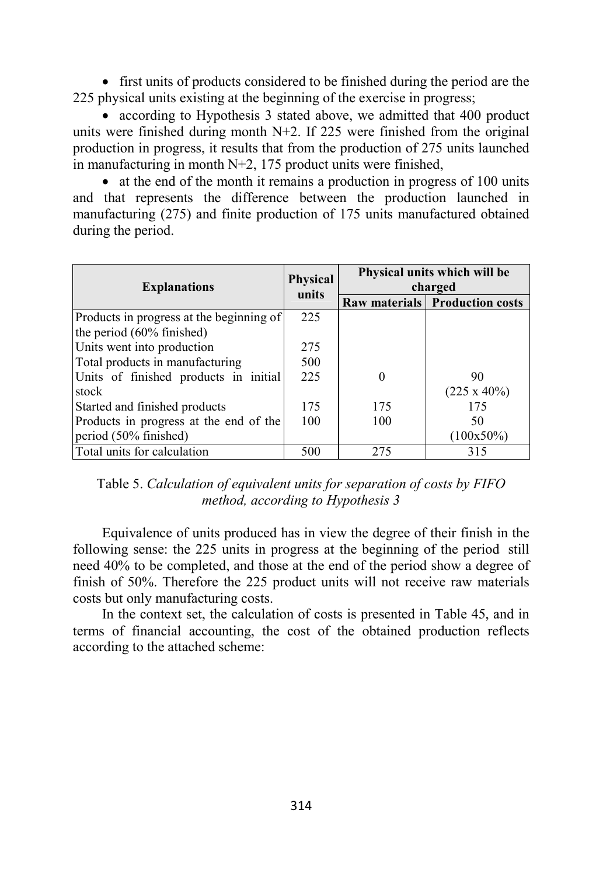• first units of products considered to be finished during the period are the 225 physical units existing at the beginning of the exercise in progress;

• according to Hypothesis 3 stated above, we admitted that 400 product units were finished during month N+2. If 225 were finished from the original production in progress, it results that from the production of 275 units launched in manufacturing in month N+2, 175 product units were finished,

• at the end of the month it remains a production in progress of 100 units and that represents the difference between the production launched in manufacturing (275) and finite production of 175 units manufactured obtained during the period.

|                                          | <b>Physical</b> | Physical units which will be |                                       |  |
|------------------------------------------|-----------------|------------------------------|---------------------------------------|--|
| <b>Explanations</b>                      | units           | charged                      |                                       |  |
|                                          |                 |                              | <b>Raw materials Production costs</b> |  |
| Products in progress at the beginning of | 225             |                              |                                       |  |
| the period $(60\%$ finished)             |                 |                              |                                       |  |
| Units went into production               | 275             |                              |                                       |  |
| Total products in manufacturing          | 500             |                              |                                       |  |
| Units of finished products in initial    | 225             | 0                            | 90                                    |  |
| stock                                    |                 |                              | $(225 \times 40\%)$                   |  |
| Started and finished products            | 175             | 175                          | 175                                   |  |
| Products in progress at the end of the   | 100             | 100                          | 50                                    |  |
| period (50% finished)                    |                 |                              | $(100x50\%)$                          |  |
| Total units for calculation              | 500             | 275                          | 315                                   |  |

Table 5. *Calculation of equivalent units for separation of costs by FIFO method, according to Hypothesis 3* 

Equivalence of units produced has in view the degree of their finish in the following sense: the 225 units in progress at the beginning of the period still need 40% to be completed, and those at the end of the period show a degree of finish of 50%. Therefore the 225 product units will not receive raw materials costs but only manufacturing costs.

In the context set, the calculation of costs is presented in Table 45, and in terms of financial accounting, the cost of the obtained production reflects according to the attached scheme: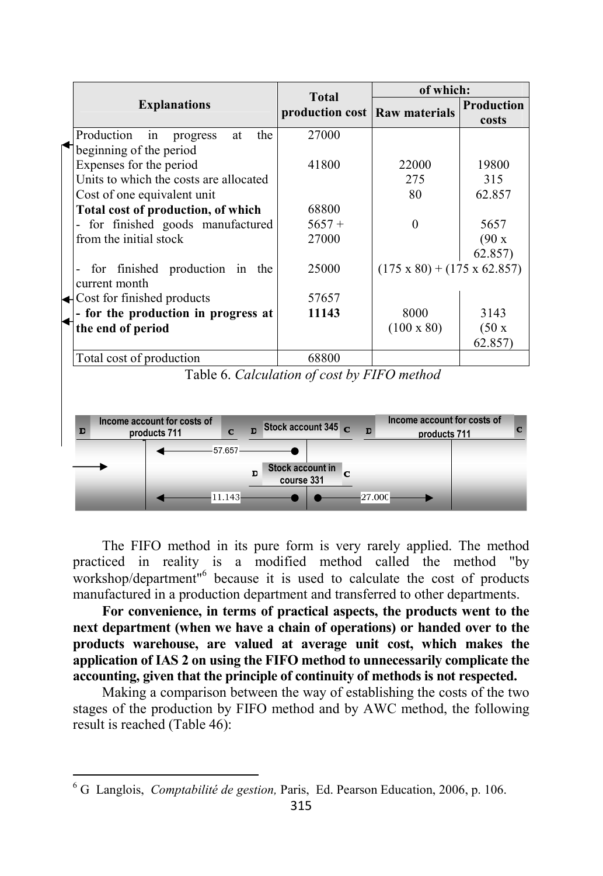|                                            | <b>Total</b>                                | of which:                               |                            |  |
|--------------------------------------------|---------------------------------------------|-----------------------------------------|----------------------------|--|
| <b>Explanations</b>                        | production cost Raw materials               |                                         | <b>Production</b><br>costs |  |
| Production<br>the<br>in<br>at<br>progress  | 27000                                       |                                         |                            |  |
| beginning of the period                    |                                             |                                         |                            |  |
| Expenses for the period                    | 41800                                       | 22000                                   | 19800                      |  |
| Units to which the costs are allocated     |                                             | 275                                     | 315                        |  |
| Cost of one equivalent unit                |                                             | 80                                      | 62.857                     |  |
| Total cost of production, of which         | 68800                                       |                                         |                            |  |
| for finished goods manufactured            | $5657+$                                     | $\Omega$                                | 5657                       |  |
| from the initial stock                     | 27000                                       |                                         | (90 x)                     |  |
|                                            |                                             |                                         | 62.857)                    |  |
| finished production in<br>for<br>the       | 25000                                       | $(175 \times 80) + (175 \times 62.857)$ |                            |  |
| current month                              |                                             |                                         |                            |  |
| $\triangleleft$ Cost for finished products | 57657                                       |                                         |                            |  |
| - for the production in progress at        | 11143                                       | 8000                                    | 3143                       |  |
| the end of period                          |                                             | $(100 \times 80)$                       | (50x)                      |  |
|                                            |                                             |                                         | 62.857)                    |  |
| Total cost of production                   | 68800                                       |                                         |                            |  |
|                                            | Table 6. Calculation of cost by FIFO method |                                         |                            |  |



The FIFO method in its pure form is very rarely applied. The method practiced in reality is a modified method called the method "by workshop/department"<sup>6</sup> because it is used to calculate the cost of products manufactured in a production department and transferred to other departments.

**For convenience, in terms of practical aspects, the products went to the next department (when we have a chain of operations) or handed over to the products warehouse, are valued at average unit cost, which makes the application of IAS 2 on using the FIFO method to unnecessarily complicate the accounting, given that the principle of continuity of methods is not respected.** 

Making a comparison between the way of establishing the costs of the two stages of the production by FIFO method and by AWC method, the following result is reached (Table 46):

l

<sup>6</sup> G Langlois, *Comptabilité de gestion,* Paris, Ed. Pearson Education, 2006, p. 106.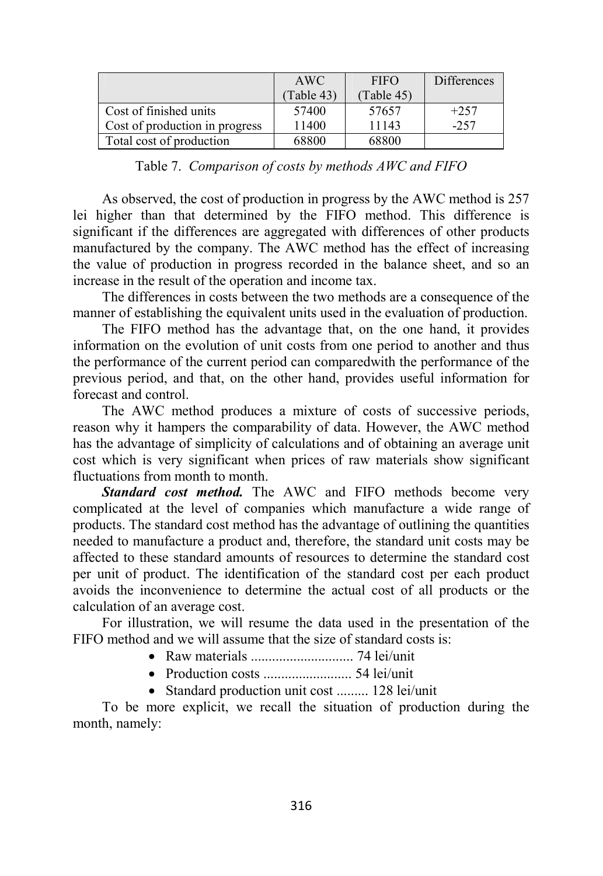|                                | AWC        | <b>FIFO</b> | <b>Differences</b> |
|--------------------------------|------------|-------------|--------------------|
|                                | (Table 43) | (Table 45)  |                    |
| Cost of finished units         | 57400      | 57657       | $+257$             |
| Cost of production in progress | 11400      | 11143       | $-257$             |
| Total cost of production       | 68800      | 68800       |                    |

Table 7. *Comparison of costs by methods AWC and FIFO* 

As observed, the cost of production in progress by the AWC method is 257 lei higher than that determined by the FIFO method. This difference is significant if the differences are aggregated with differences of other products manufactured by the company. The AWC method has the effect of increasing the value of production in progress recorded in the balance sheet, and so an increase in the result of the operation and income tax.

The differences in costs between the two methods are a consequence of the manner of establishing the equivalent units used in the evaluation of production.

The FIFO method has the advantage that, on the one hand, it provides information on the evolution of unit costs from one period to another and thus the performance of the current period can comparedwith the performance of the previous period, and that, on the other hand, provides useful information for forecast and control.

The AWC method produces a mixture of costs of successive periods, reason why it hampers the comparability of data. However, the AWC method has the advantage of simplicity of calculations and of obtaining an average unit cost which is very significant when prices of raw materials show significant fluctuations from month to month.

*Standard cost method.* The AWC and FIFO methods become very complicated at the level of companies which manufacture a wide range of products. The standard cost method has the advantage of outlining the quantities needed to manufacture a product and, therefore, the standard unit costs may be affected to these standard amounts of resources to determine the standard cost per unit of product. The identification of the standard cost per each product avoids the inconvenience to determine the actual cost of all products or the calculation of an average cost.

For illustration, we will resume the data used in the presentation of the FIFO method and we will assume that the size of standard costs is:

- Raw materials ............................. 74 lei/unit
- Production costs ......................... 54 lei/unit
- Standard production unit cost ......... 128 lei/unit

To be more explicit, we recall the situation of production during the month, namely: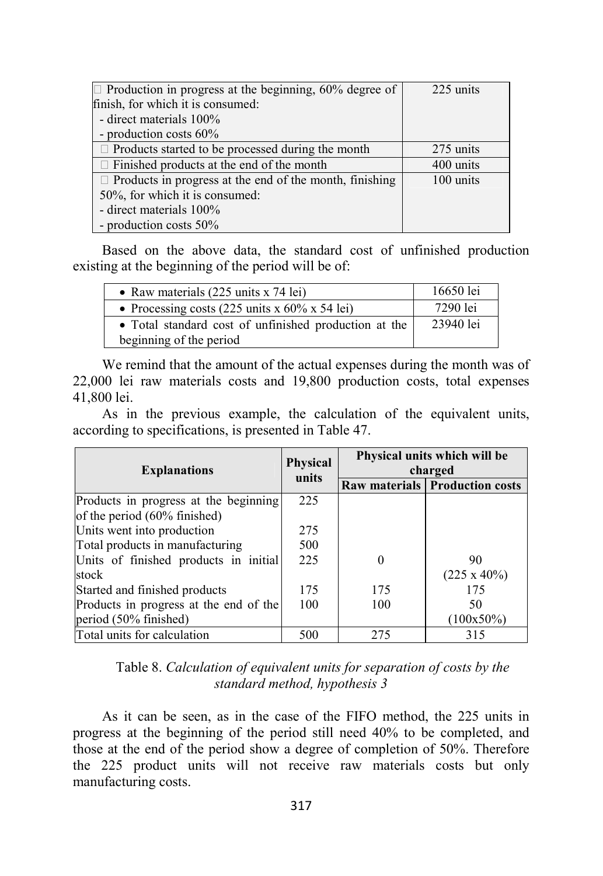| $\Box$ Production in progress at the beginning, 60% degree of  | 225 units |
|----------------------------------------------------------------|-----------|
| finish, for which it is consumed:                              |           |
| - direct materials 100%                                        |           |
| - production costs 60%                                         |           |
| $\Box$ Products started to be processed during the month       | 275 units |
| $\Box$ Finished products at the end of the month               | 400 units |
| $\Box$ Products in progress at the end of the month, finishing | 100 units |
| 50%, for which it is consumed:                                 |           |
| - direct materials 100%                                        |           |
| - production costs 50%                                         |           |

Based on the above data, the standard cost of unfinished production existing at the beginning of the period will be of:

| • Raw materials $(225 \text{ units x } 74 \text{ lei})$                          | 16650 lei |
|----------------------------------------------------------------------------------|-----------|
| • Processing costs (225 units x $60\%$ x 54 lei)                                 | 7290 lei  |
| • Total standard cost of unfinished production at the<br>beginning of the period | 23940 lei |

We remind that the amount of the actual expenses during the month was of 22,000 lei raw materials costs and 19,800 production costs, total expenses 41,800 lei.

As in the previous example, the calculation of the equivalent units, according to specifications, is presented in Table 47.

| <b>Explanations</b>                    | Physical | Physical units which will be<br>charged |                                       |  |
|----------------------------------------|----------|-----------------------------------------|---------------------------------------|--|
|                                        | units    |                                         | <b>Raw materials Production costs</b> |  |
| Products in progress at the beginning  | 225      |                                         |                                       |  |
| of the period (60% finished)           |          |                                         |                                       |  |
| Units went into production             | 275      |                                         |                                       |  |
| Total products in manufacturing        | 500      |                                         |                                       |  |
| Units of finished products in initial  | 225      | 0                                       | 90                                    |  |
| stock                                  |          |                                         | $(225 \times 40\%)$                   |  |
| Started and finished products          | 175      | 175                                     | 175                                   |  |
| Products in progress at the end of the | 100      | 100                                     | 50                                    |  |
| period (50% finished)                  |          |                                         | $(100x50\%)$                          |  |
| Total units for calculation            | 500      | 275                                     | 315                                   |  |

Table 8. *Calculation of equivalent units for separation of costs by the standard method, hypothesis 3* 

As it can be seen, as in the case of the FIFO method, the 225 units in progress at the beginning of the period still need 40% to be completed, and those at the end of the period show a degree of completion of 50%. Therefore the 225 product units will not receive raw materials costs but only manufacturing costs.